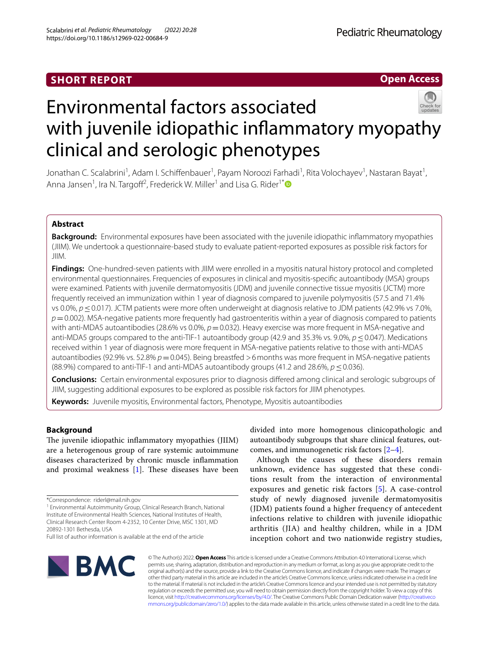# **SHORT REPORT**

# **Open Access**



# Environmental factors associated with juvenile idiopathic infammatory myopathy clinical and serologic phenotypes

Jonathan C. Scalabrini<sup>1</sup>, Adam I. Schiffenbauer<sup>1</sup>, Payam Noroozi Farhadi<sup>1</sup>, Rita Volochayev<sup>1</sup>, Nastaran Bayat<sup>1</sup>, Anna Jansen<sup>1</sup>, Ira N. Targoff<sup>2</sup>, Frederick W. Miller<sup>1</sup> and Lisa G. Rider<sup>1[\\*](http://orcid.org/0000-0002-6912-2458)</sup>

# **Abstract**

**Background:** Environmental exposures have been associated with the juvenile idiopathic infammatory myopathies (JIIM). We undertook a questionnaire-based study to evaluate patient-reported exposures as possible risk factors for JIIM.

**Findings:** One-hundred-seven patients with JIIM were enrolled in a myositis natural history protocol and completed environmental questionnaires. Frequencies of exposures in clinical and myositis-specifc autoantibody (MSA) groups were examined. Patients with juvenile dermatomyositis (JDM) and juvenile connective tissue myositis (JCTM) more frequently received an immunization within 1 year of diagnosis compared to juvenile polymyositis (57.5 and 71.4% vs 0.0%, *p* ≤ 0.017). JCTM patients were more often underweight at diagnosis relative to JDM patients (42.9% vs 7.0%, *p*=0.002). MSA-negative patients more frequently had gastroenteritis within a year of diagnosis compared to patients with anti-MDA5 autoantibodies (28.6% vs 0.0%,  $p=0.032$ ). Heavy exercise was more frequent in MSA-negative and anti-MDA5 groups compared to the anti-TIF-1 autoantibody group (42.9 and 35.3% vs. 9.0%, *p*≤0.047). Medications received within 1 year of diagnosis were more frequent in MSA-negative patients relative to those with anti-MDA5 autoantibodies (92.9% vs. 52.8%  $p=0.045$ ). Being breastfed >6 months was more frequent in MSA-negative patients (88.9%) compared to anti-TIF-1 and anti-MDA5 autoantibody groups (41.2 and 28.6%,  $p \le 0.036$ ).

**Conclusions:** Certain environmental exposures prior to diagnosis difered among clinical and serologic subgroups of JIIM, suggesting additional exposures to be explored as possible risk factors for JIIM phenotypes.

**Keywords:** Juvenile myositis, Environmental factors, Phenotype, Myositis autoantibodies

# **Background**

The juvenile idiopathic inflammatory myopathies (JIIM) are a heterogenous group of rare systemic autoimmune diseases characterized by chronic muscle infammation and proximal weakness  $[1]$  $[1]$ . These diseases have been

<sup>1</sup> Environmental Autoimmunity Group, Clinical Research Branch, National Institute of Environmental Health Sciences, National Institutes of Health, Clinical Research Center Room 4-2352, 10 Center Drive, MSC 1301, MD 20892-1301 Bethesda, USA

divided into more homogenous clinicopathologic and autoantibody subgroups that share clinical features, outcomes, and immunogenetic risk factors [[2–](#page-8-1)[4](#page-8-2)].

Although the causes of these disorders remain unknown, evidence has suggested that these conditions result from the interaction of environmental exposures and genetic risk factors [[5\]](#page-8-3). A case-control study of newly diagnosed juvenile dermatomyositis (JDM) patients found a higher frequency of antecedent infections relative to children with juvenile idiopathic arthritis (JIA) and healthy children, while in a JDM inception cohort and two nationwide registry studies,



© The Author(s) 2022. **Open Access** This article is licensed under a Creative Commons Attribution 4.0 International License, which permits use, sharing, adaptation, distribution and reproduction in any medium or format, as long as you give appropriate credit to the original author(s) and the source, provide a link to the Creative Commons licence, and indicate if changes were made. The images or other third party material in this article are included in the article's Creative Commons licence, unless indicated otherwise in a credit line to the material. If material is not included in the article's Creative Commons licence and your intended use is not permitted by statutory regulation or exceeds the permitted use, you will need to obtain permission directly from the copyright holder. To view a copy of this licence, visit [http://creativecommons.org/licenses/by/4.0/.](http://creativecommons.org/licenses/by/4.0/) The Creative Commons Public Domain Dedication waiver ([http://creativeco](http://creativecommons.org/publicdomain/zero/1.0/) [mmons.org/publicdomain/zero/1.0/](http://creativecommons.org/publicdomain/zero/1.0/)) applies to the data made available in this article, unless otherwise stated in a credit line to the data.

<sup>\*</sup>Correspondence: riderl@mail.nih.gov

Full list of author information is available at the end of the article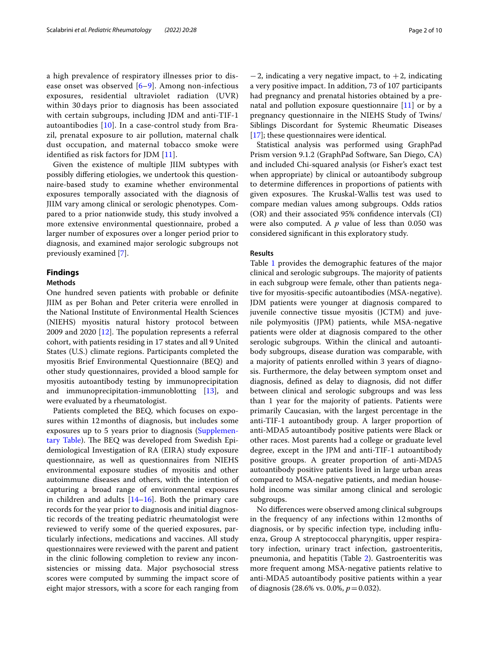a high prevalence of respiratory illnesses prior to disease onset was observed  $[6-9]$  $[6-9]$ . Among non-infectious exposures, residential ultraviolet radiation (UVR) within 30 days prior to diagnosis has been associated with certain subgroups, including JDM and anti-TIF-1 autoantibodies [\[10](#page-8-6)]. In a case-control study from Brazil, prenatal exposure to air pollution, maternal chalk dust occupation, and maternal tobacco smoke were identifed as risk factors for JDM [\[11](#page-8-7)].

Given the existence of multiple JIIM subtypes with possibly difering etiologies, we undertook this questionnaire-based study to examine whether environmental exposures temporally associated with the diagnosis of JIIM vary among clinical or serologic phenotypes. Compared to a prior nationwide study, this study involved a more extensive environmental questionnaire, probed a larger number of exposures over a longer period prior to diagnosis, and examined major serologic subgroups not previously examined [[7](#page-8-8)].

# **Findings**

#### **Methods**

One hundred seven patients with probable or defnite JIIM as per Bohan and Peter criteria were enrolled in the National Institute of Environmental Health Sciences (NIEHS) myositis natural history protocol between 2009 and 2020  $[12]$  $[12]$ . The population represents a referral cohort, with patients residing in 17 states and all 9 United States (U.S.) climate regions. Participants completed the myositis Brief Environmental Questionnaire (BEQ) and other study questionnaires, provided a blood sample for myositis autoantibody testing by immunoprecipitation and immunoprecipitation-immunoblotting [\[13](#page-8-10)], and were evaluated by a rheumatologist.

Patients completed the BEQ, which focuses on exposures within 12months of diagnosis, but includes some exposures up to 5 years prior to diagnosis ([Supplemen](#page-7-0)[tary Table\)](#page-7-0). The BEQ was developed from Swedish Epidemiological Investigation of RA (EIRA) study exposure questionnaire, as well as questionnaires from NIEHS environmental exposure studies of myositis and other autoimmune diseases and others, with the intention of capturing a broad range of environmental exposures in children and adults  $[14–16]$  $[14–16]$  $[14–16]$ . Both the primary care records for the year prior to diagnosis and initial diagnostic records of the treating pediatric rheumatologist were reviewed to verify some of the queried exposures, particularly infections, medications and vaccines. All study questionnaires were reviewed with the parent and patient in the clinic following completion to review any inconsistencies or missing data. Major psychosocial stress scores were computed by summing the impact score of eight major stressors, with a score for each ranging from

 $-2$ , indicating a very negative impact, to  $+2$ , indicating a very positive impact. In addition, 73 of 107 participants had pregnancy and prenatal histories obtained by a prenatal and pollution exposure questionnaire  $[11]$  $[11]$  or by a pregnancy questionnaire in the NIEHS Study of Twins/ Siblings Discordant for Systemic Rheumatic Diseases [[17\]](#page-8-13); these questionnaires were identical.

Statistical analysis was performed using GraphPad Prism version 9.1.2 (GraphPad Software, San Diego, CA) and included Chi-squared analysis (or Fisher's exact test when appropriate) by clinical or autoantibody subgroup to determine diferences in proportions of patients with given exposures. The Kruskal-Wallis test was used to compare median values among subgroups. Odds ratios (OR) and their associated 95% confdence intervals (CI) were also computed. A *p* value of less than 0.050 was considered signifcant in this exploratory study.

## **Results**

Table [1](#page-2-0) provides the demographic features of the major clinical and serologic subgroups. The majority of patients in each subgroup were female, other than patients negative for myositis-specifc autoantibodies (MSA-negative). JDM patients were younger at diagnosis compared to juvenile connective tissue myositis (JCTM) and juvenile polymyositis (JPM) patients, while MSA-negative patients were older at diagnosis compared to the other serologic subgroups. Within the clinical and autoantibody subgroups, disease duration was comparable, with a majority of patients enrolled within 3 years of diagnosis. Furthermore, the delay between symptom onset and diagnosis, defned as delay to diagnosis, did not difer between clinical and serologic subgroups and was less than 1 year for the majority of patients. Patients were primarily Caucasian, with the largest percentage in the anti-TIF-1 autoantibody group. A larger proportion of anti-MDA5 autoantibody positive patients were Black or other races. Most parents had a college or graduate level degree, except in the JPM and anti-TIF-1 autoantibody positive groups. A greater proportion of anti-MDA5 autoantibody positive patients lived in large urban areas compared to MSA-negative patients, and median household income was similar among clinical and serologic subgroups.

No diferences were observed among clinical subgroups in the frequency of any infections within 12months of diagnosis, or by specifc infection type, including infuenza, Group A streptococcal pharyngitis, upper respiratory infection, urinary tract infection, gastroenteritis, pneumonia, and hepatitis (Table [2\)](#page-3-0). Gastroenteritis was more frequent among MSA-negative patients relative to anti-MDA5 autoantibody positive patients within a year of diagnosis (28.6% vs. 0.0%, *p*=0.032).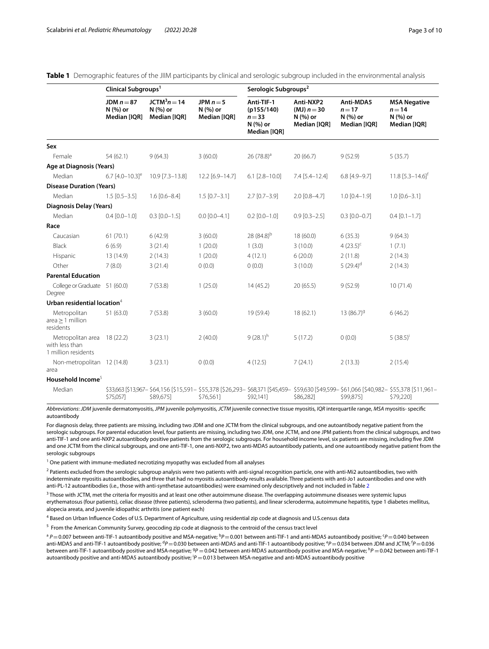|                                                                      | Clinical Subgroups <sup>1</sup>          |                                           |                                         | Serologic Subgroups <sup>2</sup>                                 |                                                        |                                                 |                                                                                                                                                    |
|----------------------------------------------------------------------|------------------------------------------|-------------------------------------------|-----------------------------------------|------------------------------------------------------------------|--------------------------------------------------------|-------------------------------------------------|----------------------------------------------------------------------------------------------------------------------------------------------------|
|                                                                      | JDM $n = 87$<br>N (%) or<br>Median [IQR] | $JCTM3n = 14$<br>N (%) or<br>Median [IQR] | JPM $n = 5$<br>N (%) or<br>Median [IQR] | Anti-TIF-1<br>(p155/140)<br>$n = 33$<br>N (%) or<br>Median [IQR] | Anti-NXP2<br>(MJ) $n = 30$<br>N (%) or<br>Median [IQR] | Anti-MDA5<br>$n=17$<br>N (%) or<br>Median [IQR] | <b>MSA Negative</b><br>$n = 14$<br>N (%) or<br>Median [IQR]                                                                                        |
| Sex                                                                  |                                          |                                           |                                         |                                                                  |                                                        |                                                 |                                                                                                                                                    |
| Female                                                               | 54(62.1)                                 | 9(64.3)                                   | 3(60.0)                                 | 26 (78.8) <sup>a</sup>                                           | 20(66.7)                                               | 9(52.9)                                         | 5(35.7)                                                                                                                                            |
| Age at Diagnosis (Years)                                             |                                          |                                           |                                         |                                                                  |                                                        |                                                 |                                                                                                                                                    |
| Median                                                               | 6.7 $[4.0 - 10.3]$ <sup>e</sup>          | 10.9 [7.3-13.8]                           | 12.2 [6.9-14.7]                         | $6.1$ $[2.8 - 10.0]$                                             | $7.4$ [5.4-12.4]                                       | $6.8$ [4.9-9.7]                                 | $11.8$ [5.3-14.6] <sup>†</sup>                                                                                                                     |
| <b>Disease Duration (Years)</b>                                      |                                          |                                           |                                         |                                                                  |                                                        |                                                 |                                                                                                                                                    |
| Median                                                               | $1.5$ [0.5-3.5]                          | $1.6$ [0.6-8.4]                           | $1.5$ [0.7-3.1]                         | $2.7$ [0.7-3.9]                                                  | $2.0$ [0.8-4.7]                                        | $1.0$ [0.4-1.9]                                 | $1.0$ [0.6-3.1]                                                                                                                                    |
| <b>Diagnosis Delay (Years)</b>                                       |                                          |                                           |                                         |                                                                  |                                                        |                                                 |                                                                                                                                                    |
| Median                                                               | $0.4$ [0.0-1.0]                          | $0.3$ $[0.0 - 1.5]$                       | $0.0$ $[0.0 - 4.1]$                     | $0.2$ [0.0-1.0]                                                  | $0.9$ [0.3-2.5]                                        | $0.3$ $[0.0 - 0.7]$                             | $0.4$ [0.1-1.7]                                                                                                                                    |
| Race                                                                 |                                          |                                           |                                         |                                                                  |                                                        |                                                 |                                                                                                                                                    |
| Caucasian                                                            | 61(70.1)                                 | 6(42.9)                                   | 3(60.0)                                 | 28 (84.8) <sup>b</sup>                                           | 18 (60.0)                                              | 6(35.3)                                         | 9(64.3)                                                                                                                                            |
| Black                                                                | 6(6.9)                                   | 3(21.4)                                   | 1(20.0)                                 | 1(3.0)                                                           | 3(10.0)                                                | $4(23.5)^{c}$                                   | 1(7.1)                                                                                                                                             |
| Hispanic                                                             | 13 (14.9)                                | 2(14.3)                                   | 1(20.0)                                 | 4(12.1)                                                          | 6(20.0)                                                | 2(11.8)                                         | 2(14.3)                                                                                                                                            |
| Other                                                                | 7(8.0)                                   | 3(21.4)                                   | 0(0.0)                                  | 0(0.0)                                                           | 3(10.0)                                                | 5 $(29.4)^d$                                    | 2(14.3)                                                                                                                                            |
| <b>Parental Education</b>                                            |                                          |                                           |                                         |                                                                  |                                                        |                                                 |                                                                                                                                                    |
| College or Graduate 51 (60.0)<br>Degree                              |                                          | 7(53.8)                                   | 1(25.0)                                 | 14(45.2)                                                         | 20(65.5)                                               | 9(52.9)                                         | 10(71.4)                                                                                                                                           |
| Urban residential location $4$                                       |                                          |                                           |                                         |                                                                  |                                                        |                                                 |                                                                                                                                                    |
| Metropolitan<br>$area \geq 1$ million<br>residents                   | 51 (63.0)                                | 7(53.8)                                   | 3(60.0)                                 | 19 (59.4)                                                        | 18(62.1)                                               | 13 $(86.7)^9$                                   | 6(46.2)                                                                                                                                            |
| Metropolitan area 18 (22.2)<br>with less than<br>1 million residents |                                          | 3(23.1)                                   | 2(40.0)                                 | $9(28.1)^h$                                                      | 5(17.2)                                                | 0(0.0)                                          | $5(38.5)^{1}$                                                                                                                                      |
| Non-metropolitan 12 (14.8)<br>area                                   |                                          | 3(23.1)                                   | 0(0.0)                                  | 4(12.5)                                                          | 7(24.1)                                                | 2(13.3)                                         | 2(15.4)                                                                                                                                            |
| Household Income <sup>5</sup>                                        |                                          |                                           |                                         |                                                                  |                                                        |                                                 |                                                                                                                                                    |
| Median                                                               | \$75,057]                                | \$89,675]                                 | \$76,561]                               | \$92,141]                                                        | \$86,282]                                              | \$99,875]                                       | \$33,663 [\$13,967-\$64,156 [\$15,591-\$55,378 [\$26,293-\$68,371 [\$45,459-\$59,630 [\$49,599-\$61,066 [\$40,982-\$55,378 [\$11,961-<br>\$79,220] |

# <span id="page-2-0"></span>**Table 1** Demographic features of the JIIM participants by clinical and serologic subgroup included in the environmental analysis

*Abbreviations*: *JDM* juvenile dermatomyositis, *JPM* juvenile polymyositis, *JCTM* juvenile connective tissue myositis, *IQR* interquartile range, *MSA* myositis- specifc autoantibody

For diagnosis delay, three patients are missing, including two JDM and one JCTM from the clinical subgroups, and one autoantibody negative patient from the serologic subgroups. For parental education level, four patients are missing, including two JDM, one JCTM, and one JPM patients from the clinical subgroups, and two anti-TIF-1 and one anti-NXP2 autoantibody positive patients from the serologic subgroups. For household income level, six patients are missing, including fve JDM and one JCTM from the clinical subgroups, and one anti-TIF-1, one anti-NXP2, two anti-MDA5 autoantibody patients, and one autoantibody negative patient from the serologic subgroups

<sup>1</sup> One patient with immune-mediated necrotizing myopathy was excluded from all analyses

<sup>2</sup> Patients excluded from the serologic subgroup analysis were two patients with anti-signal recognition particle, one with anti-Mi2 autoantibodies, two with indeterminate myositis autoantibodies, and three that had no myositis autoantibody results available. Three patients with anti-Jo1 autoantibodies and one with anti-PL-12 autoantibodies (i.e., those with anti-synthetase autoantibodies) were examined only descriptively and not included in Table [2](#page-3-0)

 $^3$  Those with JCTM, met the criteria for myositis and at least one other autoimmune disease. The overlapping autoimmune diseases were systemic lupus erythematosus (four patients), celiac disease (three patients), scleroderma (two patients), and linear scleroderma, autoimmune hepatitis, type 1 diabetes mellitus, alopecia areata, and juvenile idiopathic arthritis (one patient each)

<sup>4</sup> Based on Urban Influence Codes of U.S. Department of Agriculture, using residential zip code at diagnosis and U.S.census data

<sup>5</sup> From the American Community Survey, geocoding zip code at diagnosis to the centroid of the census tract level

<sup>a</sup> P=0.007 between anti-TIF-1 autoantibody positive and MSA-negative; <sup>b</sup>P=0.001 between anti-TIF-1 and anti-MDA5 autoantibody positive; <sup>c</sup>P=0.040 between anti-MDA5 and anti-TIF-1 autoantibody positive; <sup>d</sup>P=0.030 between anti-MDA5 and anti-TIF-1 autoantibody positive; <sup>e</sup>P=0.034 between JDM and JCTM; <sup>f</sup>P=0.036 between anti-TIF-1 autoantibody positive and MSA-negative; <sup>g</sup>P = 0.042 between anti-MDA5 autoantibody positive and MSA-negative; <sup>h</sup>P = 0.042 between anti-TIF-1 autoantibody positive and anti-MDA5 autoantibody positive; <sup>i</sup>P = 0.013 between MSA-negative and anti-MDA5 autoantibody positive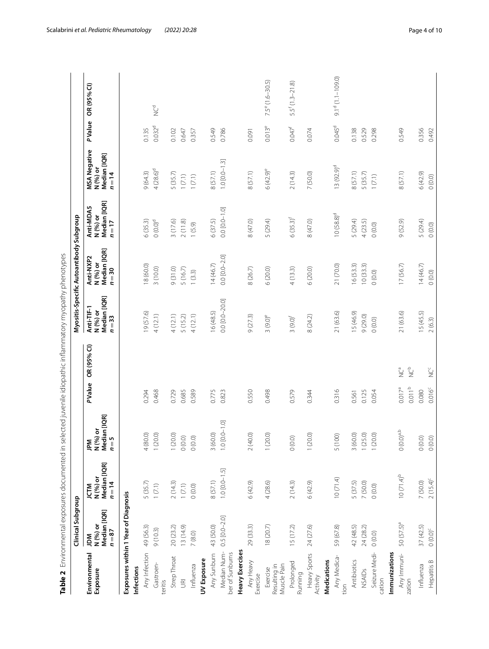<span id="page-3-0"></span>

| j<br>ׇ֚֘֝֬֝                                                                                       |
|---------------------------------------------------------------------------------------------------|
| ׅ֘֒                                                                                               |
| l<br>ļ                                                                                            |
| .<br>.<br>.<br>í                                                                                  |
| $\frac{1}{2}$<br>$\ddotsc$<br>;                                                                   |
| l<br>ׇ֘֒                                                                                          |
| $\frac{1}{2}$                                                                                     |
| ļ<br>Ó                                                                                            |
| Ì<br>؟<br>٥                                                                                       |
| i                                                                                                 |
| í<br>j<br>j<br>j<br>١                                                                             |
| $\overline{a}$<br>$\ddot{\phantom{a}}$                                                            |
| ׇ֚֘֝֬<br>りりり<br>24222211<br>1                                                                     |
| 5<br>i                                                                                            |
| י<br>י<br>l<br>l                                                                                  |
| j<br>l<br>֧֧֦֧֖֖֖֧ׅ֧֧֧֧֧֧֧֧֧֧֧֧֚֚֚֚֚֚֚֚֚֚֚֚֝֝֝֝֝֝֝֓֝֬֓֬֝֓֬֝֓֬֝֓֬֝֓֬֝֓֬֝֓֬֝֓֝֬֝֬֝֬֝֬֝֬֝֬֝֬֝֬֝֬֝֬֝֬ |
| ĺ<br>$\sim$ $\sim$ $+$ $\sim$<br>S                                                                |
| ۱                                                                                                 |
| j<br>ţ<br>ï                                                                                       |
| $\frac{1}{2}$<br>l<br>$\overline{\phantom{a}}$<br>$\frac{1}{2}$                                   |
| ī<br>۱                                                                                            |

|                                         | Clinical Subgroup                         |                                                    |                                          |                                                               |                                                                                                 | Myositis-Specific Autoantibody Subgroup         |                                                 |                                                             |                      |                      |
|-----------------------------------------|-------------------------------------------|----------------------------------------------------|------------------------------------------|---------------------------------------------------------------|-------------------------------------------------------------------------------------------------|-------------------------------------------------|-------------------------------------------------|-------------------------------------------------------------|----------------------|----------------------|
| Environmental<br>Exposure               | Median [IQR]<br>N (%) or<br>$n=87$<br>ΜQΓ | Median [IQR]<br>N (%) or<br>$n = 14$<br><b>NLL</b> | [IQR]<br>N (%) o<br>Median<br>$n=5$<br>Μ | OR (95% CI)<br>PValue                                         | $\begin{array}{c} \mathsf{Median}~[\mathsf{IQR}] \\ n=33 \end{array}$<br>Anti-TIF-1<br>N (%) or | Median [IQR]<br>Anti-NXP2<br>N (%) or<br>$n=30$ | Median [IQR]<br>$n=17$<br>Anti-MDA5<br>N (%) or | <b>MSA Negative</b><br>Median [IQR]<br>N (%) or<br>$n = 14$ | PValue               | OR (95% CI)          |
|                                         | Exposures within 1 Year of Diagnosis      |                                                    |                                          |                                                               |                                                                                                 |                                                 |                                                 |                                                             |                      |                      |
| Infections                              |                                           |                                                    |                                          |                                                               |                                                                                                 |                                                 |                                                 |                                                             |                      |                      |
| Any Infection                           | 49 (56.3)                                 | 5 (35.7)                                           | 4 (80.0)                                 | 0.294                                                         | 19(57.6)                                                                                        | 18 (60.0)                                       | 6(35.3)                                         | 9(64.3)                                                     | 0.135                |                      |
| Gastroen-<br>teritis                    | 9(10.3)                                   | $1(7.1)$                                           | 1(20.0)                                  | 0.468                                                         | 4(12.1)                                                                                         | 3(10.0)                                         | $0(0.0)^d$                                      | $4(28.6)^d$                                                 | $0.032^{d}$          | <b>PU</b>            |
| Strep Throat                            | 20 (23.2)                                 | 2(14.3)                                            | 1(20.0)                                  | 0.729                                                         | 4(12.1)                                                                                         | 9(31.0)                                         | 3(17.6)                                         | 5(35.7)                                                     | 0.102                |                      |
| $\overline{\mathbb{E}}$                 | 13 (14.9)                                 | $1(7.1)$                                           | (0.0)0                                   | 0.685                                                         | 5 (15.2)                                                                                        | 5(16.7)                                         | 2(11.8)                                         | $1 (7.1)$                                                   | 0.647                |                      |
| Influenza                               | 7(8.0)                                    | (0.0)0                                             | (0.0)0                                   | 0.589                                                         | 4(12.1)                                                                                         | 1(3.3)                                          | (5.9)                                           | $1(7.1)$                                                    | 0.357                |                      |
| UV Exposure                             |                                           |                                                    |                                          |                                                               |                                                                                                 |                                                 |                                                 |                                                             |                      |                      |
| Any Sunburn                             | 43 (50.0)                                 | 8(57.1)                                            | 3(60.0)                                  | 0.775                                                         | 16 (48.5)                                                                                       | 14(46.7)                                        | 6 (37.5)                                        | 8(57.1)                                                     | 0.549                |                      |
| Median Num-<br>ber of Sunburns          | $0.5$ [0.0-2.0]                           | $1.0$ [0.0-1.5]                                    | $-1.0$<br>1.0 [0.0-                      | 0.823                                                         | 0.0 [0.0-20.0]                                                                                  | $0.0$ [ $0.0 - 2.0$ ]                           | $0.0 [0.0 - 1.0]$                               | $1.0 [0.0 - 1.3]$                                           | 0.786                |                      |
| <b>Heavy Exercises</b>                  |                                           |                                                    |                                          |                                                               |                                                                                                 |                                                 |                                                 |                                                             |                      |                      |
| Any Heavy<br>Exercise                   | 29 (33.3)                                 | 6(42.9)                                            | 2(40.0)                                  | 0.550                                                         | 9(27.3)                                                                                         | 8(26.7)                                         | 8(47.0)                                         | 8(57.1)                                                     | 0.091                |                      |
| Muscle Pain<br>Resulting in<br>Exercise | 18 (20.7)                                 | 4(28.6)                                            | 1(20.0)                                  | 0.498                                                         | $3(9.0)^e$                                                                                      | 6(20.0)                                         | 5 (29.4)                                        | $6(42.9)^e$                                                 | $0.013^e$            | 7.5° (1.6-30.5)      |
| Prolonged<br>Running                    | 15(17.2)                                  | 2(14.3)                                            | (0.0)0                                   | 0.579                                                         | $3 (9.0)^f$                                                                                     | 4(13.3)                                         | $6(35.3)^{f}$                                   | 2(14.3)                                                     | $0.047$ <sup>f</sup> | $5.5^{f}$ (1.3-21.8) |
| Heavy Sports<br>Activity<br>Medications | 24 (27.6)                                 | 6(42.9)                                            | 1(20.0)                                  | 0.344                                                         | 8 (24.2)                                                                                        | 6(20.0)                                         | 8(47.0)                                         | 7 (50.0)                                                    | 0.074                |                      |
| Any Medica-<br>tion                     | 59 (67.8)                                 | 10(71.4)                                           | 5 (100)                                  | 0.316                                                         | 21 (63.6)                                                                                       | 21 (70.0)                                       | $10 (58.8)^d$                                   | $13(92.9)^d$                                                | 0.045 <sup>d</sup>   | $9.1d$ (1.1-109.0)   |
| Antibiotics                             | 42 (48.5)                                 | 5 (37.5)                                           | 3 (60.0)                                 | 0.561                                                         | 15 (46.9)                                                                                       | 16(53.3)                                        | 5 (29.4)                                        | 8(57.1)                                                     | 0.138                |                      |
| <b>NSAIDs</b>                           | 24 (28.2)                                 | 7 (50.0)                                           | 1(25.0)                                  | 0.125                                                         | 9(29.0)                                                                                         | 10(33.3)                                        | 4(23.5)                                         | 5 (35.7)                                                    | 0.529                |                      |
| Seizure Medi-<br>cation                 | 0(0.0)                                    | (0.0)0                                             | 1(20.0)                                  | 0.054                                                         | (0.0)0                                                                                          | 0(0.0)                                          | (0.0)0                                          | $1 (7.1)$                                                   | 0.298                |                      |
| Immunizations                           |                                           |                                                    |                                          |                                                               |                                                                                                 |                                                 |                                                 |                                                             |                      |                      |
| Any Immuni-<br>zation                   | $50(57.5)^{a}$                            | $10(71.4)^{b}$                                     | $0$ (O.O) $^{\rm ab}$                    | e<br>V<br>° <sub>2</sub><br>0.011 <sup>b</sup><br>$0.017^{a}$ | 21 (63.6)                                                                                       | 17(56.7)                                        | 9(52.9)                                         | 8(57.1)                                                     | 0.549                |                      |
| Influenza                               | 37 (42.5)                                 | 7 (50.0)                                           | (0.0)0                                   | 0.080                                                         | 15 (45.5)                                                                                       | 14(46.7)                                        | 5 (29.4)                                        | 6(42.9)                                                     | 0.356                |                      |
| Hepatitis B                             | $0~(0.0)^c$                               | $2(15.4)^{c}$                                      | 0(0.0)                                   | ğ<br>$0.016^c$                                                | 2(6.3)                                                                                          | 0(0.0)                                          | (0.0)0                                          | 0(0.0)                                                      | 0.492                |                      |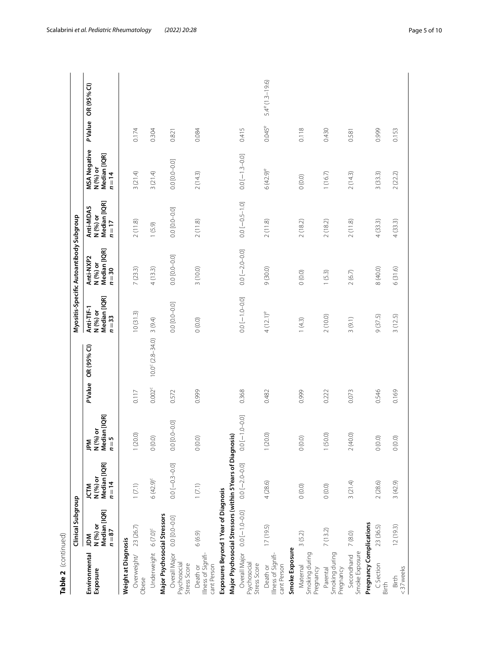| ١<br>5 |
|--------|
|        |
|        |
| d      |

| Table 2 (continued)                                                           |                                             |                                                            |                                          |               |                           |                                                  |                                                 |                                                   |                                                             |               |                          |
|-------------------------------------------------------------------------------|---------------------------------------------|------------------------------------------------------------|------------------------------------------|---------------|---------------------------|--------------------------------------------------|-------------------------------------------------|---------------------------------------------------|-------------------------------------------------------------|---------------|--------------------------|
|                                                                               | Clinical Subgroup                           |                                                            |                                          |               |                           |                                                  | Myositis-Specific Autoantibody Subgroup         |                                                   |                                                             |               |                          |
| Environmental<br>Exposure                                                     | Median [IQR]<br>N (%) or<br>$n = 87$<br>MQr | Median [IQR]<br>N (%) or<br>$n = 14$<br><b>MID</b>         | Median [IQR]<br>JPM<br>N (%) or<br>$n=5$ | <b>PValue</b> | OR (95% CI)               | Median [IQR]<br>Anti-TIF-1<br>N (%) or<br>$n=33$ | Median [IQR]<br>Anti-NXP2<br>N (%) or<br>$n=30$ | Median [IQR]<br>Anti-MDA5<br>N (%) or<br>$n = 17$ | <b>MSA Negative</b><br>N (%) or<br>Median [IQR]<br>$n = 14$ | <b>PValue</b> | OR (95% CI)              |
| Weight at Diagnosis                                                           |                                             |                                                            |                                          |               |                           |                                                  |                                                 |                                                   |                                                             |               |                          |
| Overweight/<br>Obese                                                          | 23(26.7)                                    | 1(7.1)                                                     | 1(20.0)                                  | 0.117         |                           | 10(31.3)                                         | 7(23.3)                                         | 2(11.8)                                           | 3(21.4)                                                     | 0.174         |                          |
| Underweight 6 (7.0) <sup>c</sup>                                              |                                             | $6(42.9)^c$                                                | (0.0)0                                   | $0.002^c$     | $10.0^{\circ}$ (2.8-34.0) | 3(9.4)                                           | 4(13.3)                                         | (6.9)                                             | 3(21.4)                                                     | 0.304         |                          |
| Major Psychosocial Stressors<br>Overall Major<br>Psychosocial<br>Stress Score | 0.0 [0.0-0.0]                               | $0.0[-0.3 - 0.0]$                                          | $0.0$ $[0.0 - 0.0]$                      | 0.572         |                           | $0.0 - 0.0$                                      | 0.0 [0.0-0.0]                                   | 0.0 0.0 0.0 0.0                                   | $0.0 - 0.0$                                                 | 0.821         |                          |
| Illness of Signifi-<br>cant Person<br>Death or                                | 6(6.9)                                      | $1(7.1)$                                                   | 0(0.0)                                   | 0.999         |                           | (0.0)                                            | 3(10.0)                                         | 2(11.8)                                           | 2(14.3)                                                     | 0.084         |                          |
|                                                                               | Exposures Beyond 1 Year of Diagnosis        |                                                            |                                          |               |                           |                                                  |                                                 |                                                   |                                                             |               |                          |
|                                                                               |                                             | Major Psychosocial Stressors (within 5 Years of Diagnosis) |                                          |               |                           |                                                  |                                                 |                                                   |                                                             |               |                          |
| Overall Major<br>Psychosocial<br>Stress Score                                 | $0.0 - 1.0 - 0.0$                           | $0.0 - 2.0 - 0.0$                                          | $0.0 - 1.0 - 0.0$                        | 0.368         |                           | $0.0 - 1.0 - 0.0$                                | $0.0[-2.0 - 0.0]$                               | $0.0$ [ $-0.5$ -1.0]                              | $0.0[-1.3 - 0.0]$                                           | 0.415         |                          |
| Illness of Signifi-<br>cant Person<br>Death or                                | 17(19.5)                                    | 4(28.6)                                                    | 1(20.0)                                  | 0.482         |                           | $4(12.1)^e$                                      | 9(30.0)                                         | 2(11.8)                                           | $6(42.9)^e$                                                 | $0.045^e$     | $5.4^{\circ}$ (1.3-19.6) |
| Smoke Exposure                                                                |                                             |                                                            |                                          |               |                           |                                                  |                                                 |                                                   |                                                             |               |                          |
| Smoking during<br>Maternal<br>Pregnancy                                       | 3(5.2)                                      | 0(0.0)                                                     | (0.0)0                                   | 0.999         |                           | 1(4.3)                                           | 0(0.0)                                          | 2(18.2)                                           | 0(0.0)                                                      | 0.118         |                          |
| Smoking during<br>Pregnancy<br>Parental                                       | 7(13.2)                                     | 0(0.0)                                                     | 1(50.0)                                  | 0.222         |                           | 2(10.0)                                          | 1(5.3)                                          | 2(18.2)                                           | 1(16.7)                                                     | 0.430         |                          |
| Smoke Exposure<br>Secondhand                                                  | 7(8.0)                                      | 3(21.4)                                                    | 2(40.0)                                  | 0.073         |                           | 3(9.1)                                           | 2(6.7)                                          | 2(11.8)                                           | 2(14.3)                                                     | 0.581         |                          |
| Pregnancy Complications                                                       |                                             |                                                            |                                          |               |                           |                                                  |                                                 |                                                   |                                                             |               |                          |
| C Section<br>Birth                                                            | 23 (36.5)                                   | 2(28.6)                                                    | (0.0)0                                   | 0.546         |                           | 9 (37.5)                                         | 8 (40.0)                                        | 4(33.3)                                           | 3(33.3)                                                     | 0.999         |                          |
| <37weeks<br>Birth                                                             | 12(19.3)                                    | 3(42.9)                                                    | 0(0.0)                                   | 0.169         |                           | 3(12.5)                                          | 6(31.6)                                         | 4(33.3)                                           | 2(22.2)                                                     | 0.153         |                          |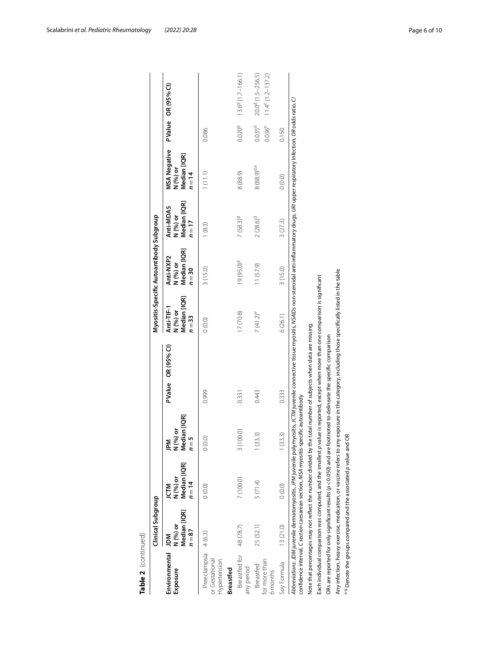| Table 2 (continued)                                                        |                                              |                                                                                                                                                                                                                                                                                                                                                                                                                                                                                                                                                                                                                                                                                                                                                                                                                                                                                                                  |                                           |               |             |                                                  |                                                 |                                                 |                                                             |                              |                                                             |
|----------------------------------------------------------------------------|----------------------------------------------|------------------------------------------------------------------------------------------------------------------------------------------------------------------------------------------------------------------------------------------------------------------------------------------------------------------------------------------------------------------------------------------------------------------------------------------------------------------------------------------------------------------------------------------------------------------------------------------------------------------------------------------------------------------------------------------------------------------------------------------------------------------------------------------------------------------------------------------------------------------------------------------------------------------|-------------------------------------------|---------------|-------------|--------------------------------------------------|-------------------------------------------------|-------------------------------------------------|-------------------------------------------------------------|------------------------------|-------------------------------------------------------------|
|                                                                            | Clinical Subgroup                            |                                                                                                                                                                                                                                                                                                                                                                                                                                                                                                                                                                                                                                                                                                                                                                                                                                                                                                                  |                                           |               |             |                                                  | Myositis-Specific Autoantibody Subgroup         |                                                 |                                                             |                              |                                                             |
| Environmental<br>Exposure                                                  | Median [IQR]<br>N (%) or<br>$n = 87$<br>N Qr | Median [IQR]<br>N (%) or<br>$n = 14$<br><b>M12</b>                                                                                                                                                                                                                                                                                                                                                                                                                                                                                                                                                                                                                                                                                                                                                                                                                                                               | Median [IQR]<br>ò<br>N (%)<br>$n=5$<br>ΣÁ | <b>PValue</b> | OR (95% CI) | Median [IQR]<br>Anti-TIF-1<br>N (%) or<br>$n=33$ | Median [IQR]<br>Anti-NXP2<br>N (%) or<br>$n=30$ | Median [IQR]<br>Anti-MDA5<br>N (%) or<br>$n=17$ | <b>MSA Negative</b><br>Median [IQR]<br>N (%) or<br>$n = 14$ | <b>PValue</b>                | OR (95% CI)                                                 |
| Preeclampsia 4 (6.3)<br>or Gestational<br>Hypertension<br><b>Breastfed</b> |                                              | (0.0)                                                                                                                                                                                                                                                                                                                                                                                                                                                                                                                                                                                                                                                                                                                                                                                                                                                                                                            | (0.0)                                     | 0.999         |             | (0.0)0                                           | 3(15.0)                                         | 1(8.3)                                          | 1(11.1)                                                     | 0.086                        |                                                             |
| Breastfed for<br>any period                                                | 48 (78.7)                                    | 7 (100.0)                                                                                                                                                                                                                                                                                                                                                                                                                                                                                                                                                                                                                                                                                                                                                                                                                                                                                                        | 3(100.0)                                  | 0.331         |             | 17(70.8)                                         | 19 (95.0) <sup>9</sup>                          | $7(58.3)^9$                                     | 8 (88.9)                                                    | 0.0209                       | 13.69 (1.7-166.1)                                           |
| for more than<br>Breastfed<br>6 months                                     | 25 (52.1)                                    | 5(71.4)                                                                                                                                                                                                                                                                                                                                                                                                                                                                                                                                                                                                                                                                                                                                                                                                                                                                                                          | (33.3)                                    | 0.443         |             | $7(41.2)^e$                                      | 11 (57.9)                                       | 2(28.6)°                                        | $8(88.9)^{d,e}$                                             | 0.035 <sup>d</sup><br>0.036e | 20.0 <sup>d</sup> (1.5-256.5)<br>$11.4^{\circ}$ (1.2-137.2) |
| Soy Formula                                                                | 13 (21.0)                                    | (0.0)0                                                                                                                                                                                                                                                                                                                                                                                                                                                                                                                                                                                                                                                                                                                                                                                                                                                                                                           | 1(33.3)                                   | 0.333         |             | 6 (26.1)                                         | 3(15.0)                                         | 3(27.3)                                         | 0(0.0)                                                      | 0.150                        |                                                             |
|                                                                            |                                              | Abbreviations: JDM juvenile dermatomyositis, JPM juvenile polymyositis, JCTM juvenile connective tissue myositis, NSAIDs non-steroidal anti-inflammatory drugs, URI upper respiratory Infection, OR odds ratio, CI<br>Any infection, heavy exercise, medication, or vaccine refers to any exposure in the category, including those specifically listed in the table<br>Each individual comparison was computed, and the smallest p value is reported, except when more than one comparison is significant<br>Note that percentages may not reflect the number divided by the total number of subjects when data are missing<br>ORs are reported for only significant results ( $p < 0.050$ ) and are footnoted to delineate the specific comparison<br>confidence interval, C section caesarean section, MSA myositis-specific autoantibody<br>arg Denote the groups compared and the associated p value and OR |                                           |               |             |                                                  |                                                 |                                                 |                                                             |                              |                                                             |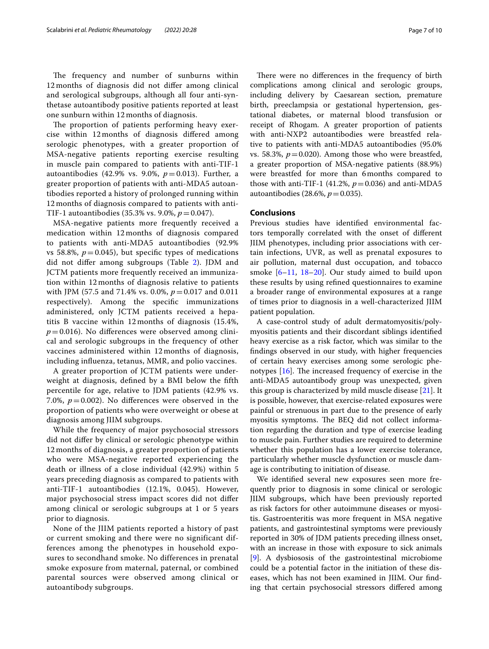The frequency and number of sunburns within 12 months of diagnosis did not difer among clinical and serological subgroups, although all four anti-synthetase autoantibody positive patients reported at least one sunburn within 12 months of diagnosis.

The proportion of patients performing heavy exercise within 12 months of diagnosis difered among serologic phenotypes, with a greater proportion of MSA-negative patients reporting exercise resulting in muscle pain compared to patients with anti-TIF-1 autoantibodies (42.9% vs. 9.0%, *p*=0.013). Further, a greater proportion of patients with anti-MDA5 autoantibodies reported a history of prolonged running within 12 months of diagnosis compared to patients with anti-TIF-1 autoantibodies (35.3% vs. 9.0%, *p*=0.047).

MSA-negative patients more frequently received a medication within 12 months of diagnosis compared to patients with anti-MDA5 autoantibodies (92.9% vs 58.8%,  $p = 0.045$ ), but specific types of medications did not difer among subgroups (Table [2\)](#page-3-0). JDM and JCTM patients more frequently received an immunization within 12 months of diagnosis relative to patients with JPM (57.5 and 71.4% vs. 0.0%, *p*=0.017 and 0.011 respectively). Among the specifc immunizations administered, only JCTM patients received a hepatitis B vaccine within 12 months of diagnosis (15.4%,  $p=0.016$ ). No differences were observed among clinical and serologic subgroups in the frequency of other vaccines administered within 12 months of diagnosis, including infuenza, tetanus, MMR, and polio vaccines.

A greater proportion of JCTM patients were underweight at diagnosis, defned by a BMI below the ffth percentile for age, relative to JDM patients (42.9% vs. 7.0%,  $p = 0.002$ ). No differences were observed in the proportion of patients who were overweight or obese at diagnosis among JIIM subgroups.

While the frequency of major psychosocial stressors did not difer by clinical or serologic phenotype within 12 months of diagnosis, a greater proportion of patients who were MSA-negative reported experiencing the death or illness of a close individual (42.9%) within 5 years preceding diagnosis as compared to patients with anti-TIF-1 autoantibodies (12.1%, 0.045). However, major psychosocial stress impact scores did not difer among clinical or serologic subgroups at 1 or 5 years prior to diagnosis.

None of the JIIM patients reported a history of past or current smoking and there were no significant differences among the phenotypes in household exposures to secondhand smoke. No differences in prenatal smoke exposure from maternal, paternal, or combined parental sources were observed among clinical or autoantibody subgroups.

There were no differences in the frequency of birth complications among clinical and serologic groups, including delivery by Caesarean section, premature birth, preeclampsia or gestational hypertension, gestational diabetes, or maternal blood transfusion or receipt of Rhogam. A greater proportion of patients with anti-NXP2 autoantibodies were breastfed relative to patients with anti-MDA5 autoantibodies (95.0% vs. 58.3%,  $p=0.020$ ). Among those who were breastfed, a greater proportion of MSA-negative patients (88.9%) were breastfed for more than 6months compared to those with anti-TIF-1 (41.2%,  $p = 0.036$ ) and anti-MDA5 autoantibodies (28.6%,  $p = 0.035$ ).

# **Conclusions**

Previous studies have identifed environmental factors temporally correlated with the onset of diferent JIIM phenotypes, including prior associations with certain infections, UVR, as well as prenatal exposures to air pollution, maternal dust occupation, and tobacco smoke [[6–](#page-8-4)[11,](#page-8-7) [18](#page-8-14)[–20](#page-8-15)]. Our study aimed to build upon these results by using refned questionnaires to examine a broader range of environmental exposures at a range of times prior to diagnosis in a well-characterized JIIM patient population.

A case-control study of adult dermatomyositis/polymyositis patients and their discordant siblings identifed heavy exercise as a risk factor, which was similar to the fndings observed in our study, with higher frequencies of certain heavy exercises among some serologic phenotypes  $[16]$  $[16]$ . The increased frequency of exercise in the anti-MDA5 autoantibody group was unexpected, given this group is characterized by mild muscle disease [[21](#page-8-16)]. It is possible, however, that exercise-related exposures were painful or strenuous in part due to the presence of early myositis symptoms. The BEQ did not collect information regarding the duration and type of exercise leading to muscle pain. Further studies are required to determine whether this population has a lower exercise tolerance, particularly whether muscle dysfunction or muscle damage is contributing to initiation of disease.

We identifed several new exposures seen more frequently prior to diagnosis in some clinical or serologic JIIM subgroups, which have been previously reported as risk factors for other autoimmune diseases or myositis. Gastroenteritis was more frequent in MSA negative patients, and gastrointestinal symptoms were previously reported in 30% of JDM patients preceding illness onset, with an increase in those with exposure to sick animals [[9\]](#page-8-5). A dysbiososis of the gastrointestinal microbiome could be a potential factor in the initiation of these diseases, which has not been examined in JIIM. Our fnding that certain psychosocial stressors difered among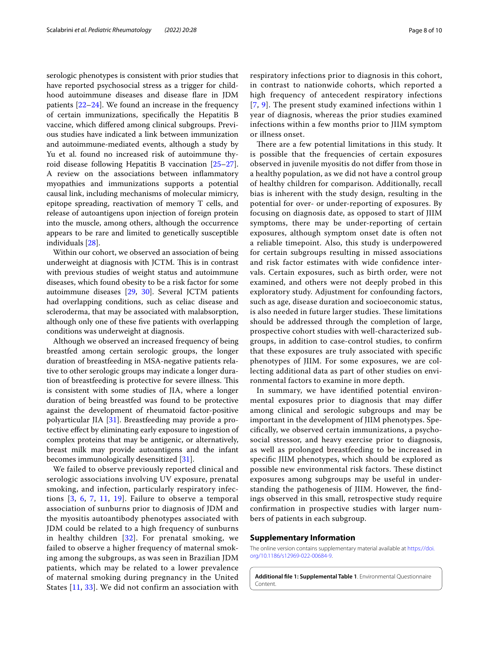serologic phenotypes is consistent with prior studies that have reported psychosocial stress as a trigger for childhood autoimmune diseases and disease flare in JDM patients  $[22-24]$  $[22-24]$ . We found an increase in the frequency of certain immunizations, specifcally the Hepatitis B vaccine, which difered among clinical subgroups. Previous studies have indicated a link between immunization and autoimmune-mediated events, although a study by Yu et al. found no increased risk of autoimmune thyroid disease following Hepatitis B vaccination [[25](#page-8-19)[–27](#page-8-20)]. A review on the associations between infammatory myopathies and immunizations supports a potential causal link, including mechanisms of molecular mimicry, epitope spreading, reactivation of memory T cells, and release of autoantigens upon injection of foreign protein into the muscle, among others, although the occurrence appears to be rare and limited to genetically susceptible individuals [[28\]](#page-8-21).

Within our cohort, we observed an association of being underweight at diagnosis with JCTM. This is in contrast with previous studies of weight status and autoimmune diseases, which found obesity to be a risk factor for some autoimmune diseases [\[29](#page-9-0), [30](#page-9-1)]. Several JCTM patients had overlapping conditions, such as celiac disease and scleroderma, that may be associated with malabsorption, although only one of these fve patients with overlapping conditions was underweight at diagnosis.

Although we observed an increased frequency of being breastfed among certain serologic groups, the longer duration of breastfeeding in MSA-negative patients relative to other serologic groups may indicate a longer duration of breastfeeding is protective for severe illness. This is consistent with some studies of JIA, where a longer duration of being breastfed was found to be protective against the development of rheumatoid factor-positive polyarticular JIA [[31](#page-9-2)]. Breastfeeding may provide a protective efect by eliminating early exposure to ingestion of complex proteins that may be antigenic, or alternatively, breast milk may provide autoantigens and the infant becomes immunologically desensitized [[31](#page-9-2)].

We failed to observe previously reported clinical and serologic associations involving UV exposure, prenatal smoking, and infection, particularly respiratory infections [[3,](#page-8-22) [6,](#page-8-4) [7,](#page-8-8) [11,](#page-8-7) [19\]](#page-8-23). Failure to observe a temporal association of sunburns prior to diagnosis of JDM and the myositis autoantibody phenotypes associated with JDM could be related to a high frequency of sunburns in healthy children  $[32]$  $[32]$  $[32]$ . For prenatal smoking, we failed to observe a higher frequency of maternal smoking among the subgroups, as was seen in Brazilian JDM patients, which may be related to a lower prevalence of maternal smoking during pregnancy in the United States [[11](#page-8-7), [33](#page-9-4)]. We did not confirm an association with respiratory infections prior to diagnosis in this cohort, in contrast to nationwide cohorts, which reported a high frequency of antecedent respiratory infections [[7](#page-8-8), [9\]](#page-8-5). The present study examined infections within 1 year of diagnosis, whereas the prior studies examined infections within a few months prior to JIIM symptom or illness onset.

There are a few potential limitations in this study. It is possible that the frequencies of certain exposures observed in juvenile myositis do not difer from those in a healthy population, as we did not have a control group of healthy children for comparison. Additionally, recall bias is inherent with the study design, resulting in the potential for over- or under-reporting of exposures. By focusing on diagnosis date, as opposed to start of JIIM symptoms, there may be under-reporting of certain exposures, although symptom onset date is often not a reliable timepoint. Also, this study is underpowered for certain subgroups resulting in missed associations and risk factor estimates with wide confdence intervals. Certain exposures, such as birth order, were not examined, and others were not deeply probed in this exploratory study. Adjustment for confounding factors, such as age, disease duration and socioeconomic status, is also needed in future larger studies. These limitations should be addressed through the completion of large, prospective cohort studies with well-characterized subgroups, in addition to case-control studies, to confrm that these exposures are truly associated with specifc phenotypes of JIIM. For some exposures, we are collecting additional data as part of other studies on environmental factors to examine in more depth.

In summary, we have identifed potential environmental exposures prior to diagnosis that may difer among clinical and serologic subgroups and may be important in the development of JIIM phenotypes. Specifcally, we observed certain immunizations, a psychosocial stressor, and heavy exercise prior to diagnosis, as well as prolonged breastfeeding to be increased in specifc JIIM phenotypes, which should be explored as possible new environmental risk factors. These distinct exposures among subgroups may be useful in understanding the pathogenesis of JIIM. However, the fndings observed in this small, retrospective study require confrmation in prospective studies with larger numbers of patients in each subgroup.

#### **Supplementary Information**

The online version contains supplementary material available at [https://doi.](https://doi.org/10.1186/s12969-022-00684-9) [org/10.1186/s12969-022-00684-9](https://doi.org/10.1186/s12969-022-00684-9).

<span id="page-7-0"></span>**Additional fle 1: Supplemental Table 1**. Environmental Questionnaire **Content**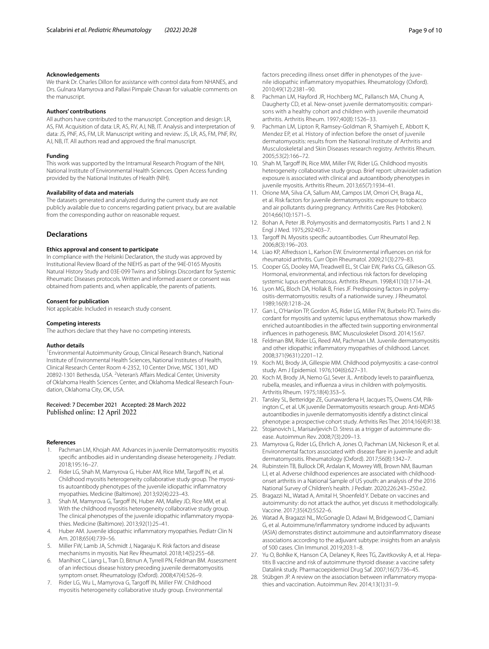#### **Acknowledgements**

We thank Dr. Charles Dillon for assistance with control data from NHANES, and Drs. Gulnara Mamyrova and Pallavi Pimpale Chavan for valuable comments on the manuscript.

#### **Authors' contributions**

All authors have contributed to the manuscript. Conception and design: LR, AS, FM. Acquisition of data: LR, AS, RV, AJ, NB, IT. Analysis and interpretation of data: JS, PNF, AS, FM, LR. Manuscript writing and review: JS, LR, AS, FM, PNF, RV, AJ, NB, IT. All authors read and approved the fnal manuscript.

#### **Funding**

This work was supported by the Intramural Research Program of the NIH, National Institute of Environmental Health Sciences. Open Access funding provided by the National Institutes of Health (NIH).

## **Availability of data and materials**

The datasets generated and analyzed during the current study are not publicly available due to concerns regarding patient privacy, but are available from the corresponding author on reasonable request.

# **Declarations**

#### **Ethics approval and consent to participate**

In compliance with the Helsinki Declaration, the study was approved by Institutional Review Board of the NIEHS as part of the 94E-0165 Myositis Natural History Study and 03E-099 Twins and Siblings Discordant for Systemic Rheumatic Diseases protocols. Written and informed assent or consent was obtained from patients and, when applicable, the parents of patients.

#### **Consent for publication**

Not applicable. Included in research study consent.

#### **Competing interests**

The authors declare that they have no competing interests.

#### **Author details**

<sup>1</sup> Environmental Autoimmunity Group, Clinical Research Branch, National Institute of Environmental Health Sciences, National Institutes of Health, Clinical Research Center Room 4-2352, 10 Center Drive, MSC 1301, MD 20892-1301 Bethesda, USA. <sup>2</sup>Veteran's Affairs Medical Center, University of Oklahoma Health Sciences Center, and Oklahoma Medical Research Foundation, Oklahoma City, OK, USA.

# Received: 7 December 2021 Accepted: 28 March 2022 Published online: 12 April 2022

#### **References**

- <span id="page-8-0"></span>1. Pachman LM, Khojah AM. Advances in juvenile Dermatomyositis: myositis specifc antibodies aid in understanding disease heterogeneity. J Pediatr. 2018;195:16–27.
- <span id="page-8-1"></span>2. Rider LG, Shah M, Mamyrova G, Huber AM, Rice MM, Targoff IN, et al. Childhood myositis heterogeneity collaborative study group. The myositis autoantibody phenotypes of the juvenile idiopathic infammatory myopathies. Medicine (Baltimore). 2013;92(4):223–43.
- <span id="page-8-22"></span>3. Shah M, Mamyrova G, Targoff IN, Huber AM, Malley JD, Rice MM, et al. With the childhood myositis heterogeneity collaborative study group. The clinical phenotypes of the juvenile idiopathic infammatory myopathies. Medicine (Baltimore). 2013;92(1):25–41.
- <span id="page-8-2"></span>4. Huber AM. Juvenile idiopathic infammatory myopathies. Pediatr Clin N Am. 2018;65(4):739–56.
- <span id="page-8-3"></span>5. Miller FW, Lamb JA, Schmidt J, Nagaraju K. Risk factors and disease mechanisms in myositis. Nat Rev Rheumatol. 2018;14(5):255–68.
- <span id="page-8-4"></span>6. Manlhiot C, Liang L, Tran D, Bitnun A, Tyrrell PN, Feldman BM. Assessment of an infectious disease history preceding juvenile dermatomyositis symptom onset. Rheumatology (Oxford). 2008;47(4):526–9.
- <span id="page-8-8"></span>7. Rider LG, Wu L, Mamyrova G, Targoff IN, Miller FW. Childhood myositis heterogeneity collaborative study group. Environmental

factors preceding illness onset difer in phenotypes of the juvenile idiopathic infammatory myopathies. Rheumatology (Oxford). 2010;49(12):2381–90.

- 8. Pachman LM, Hayford JR, Hochberg MC, Pallansch MA, Chung A, Daugherty CD, et al. New-onset juvenile dermatomyositis: comparisons with a healthy cohort and children with juvenile rheumatoid arthritis. Arthritis Rheum. 1997;40(8):1526–33.
- <span id="page-8-5"></span>9. Pachman LM, Lipton R, Ramsey-Goldman R, Shamiyeh E, Abbott K, Mendez EP, et al. History of infection before the onset of juvenile dermatomyositis: results from the National Institute of Arthritis and Musculoskeletal and Skin Diseases research registry. Arthritis Rheum. 2005;53(2):166–72.
- <span id="page-8-6"></span>10. Shah M, Targoff IN, Rice MM, Miller FW, Rider LG. Childhood myositis heterogeneity collaborative study group. Brief report: ultraviolet radiation exposure is associated with clinical and autoantibody phenotypes in juvenile myositis. Arthritis Rheum. 2013;65(7):1934–41.
- <span id="page-8-7"></span>11. Orione MA, Silva CA, Sallum AM, Campos LM, Omori CH, Braga AL, et al. Risk factors for juvenile dermatomyositis: exposure to tobacco and air pollutants during pregnancy. Arthritis Care Res (Hoboken). 2014;66(10):1571–5.
- <span id="page-8-9"></span>12. Bohan A, Peter JB. Polymyositis and dermatomyositis. Parts 1 and 2. N Engl J Med. 1975;292:403–7.
- <span id="page-8-10"></span>13. Targoff IN. Myositis specific autoantibodies. Curr Rheumatol Rep. 2006;8(3):196–203.
- <span id="page-8-11"></span>14. Liao KP, Alfredsson L, Karlson EW. Environmental infuences on risk for rheumatoid arthritis. Curr Opin Rheumatol. 2009;21(3):279–83.
- 15. Cooper GS, Dooley MA, Treadwell EL, St Clair EW, Parks CG, Gilkeson GS. Hormonal, environmental, and infectious risk factors for developing systemic lupus erythematosus. Arthritis Rheum. 1998;41(10):1714–24.
- <span id="page-8-12"></span>16. Lyon MG, Bloch DA, Hollak B, Fries JF. Predisposing factors in polymyositis-dermatomyositis: results of a nationwide survey. J Rheumatol. 1989;16(9):1218–24.
- <span id="page-8-13"></span>17. Gan L, O'Hanlon TP, Gordon AS, Rider LG, Miller FW, Burbelo PD. Twins discordant for myositis and systemic lupus erythematosus show markedly enriched autoantibodies in the afected twin supporting environmental infuences in pathogenesis. BMC Musculoskelet Disord. 2014;15:67.
- <span id="page-8-14"></span>18. Feldman BM, Rider LG, Reed AM, Pachman LM. Juvenile dermatomyositis and other idiopathic infammatory myopathies of childhood. Lancet. 2008;371(9631):2201–12.
- <span id="page-8-23"></span>19. Koch MJ, Brody JA, Gillespie MM. Childhood polymyositis: a case-control study. Am J Epidemiol. 1976;104(6):627–31.
- <span id="page-8-15"></span>20. Koch M, Brody JA, Nemo GJ, Sever JL. Antibody levels to parainfuenza, rubella, measles, and infuenza a virus in children with polymyositis. Arthritis Rheum. 1975;18(4):353–5.
- <span id="page-8-16"></span>21. Tansley SL, Betteridge ZE, Gunawardena H, Jacques TS, Owens CM, Pilkington C, et al. UK juvenile Dermatomyositis research group. Anti-MDA5 autoantibodies in juvenile dermatomyositis identify a distinct clinical phenotype: a prospective cohort study. Arthritis Res Ther. 2014;16(4):R138.
- <span id="page-8-17"></span>22. Stojanovich L, Marisavljevich D. Stress as a trigger of autoimmune disease. Autoimmun Rev. 2008;7(3):209–13.
- 23. Mamyrova G, Rider LG, Ehrlich A, Jones O, Pachman LM, Nickeson R, et al. Environmental factors associated with disease fare in juvenile and adult dermatomyositis. Rheumatology (Oxford). 2017;56(8):1342–7.
- <span id="page-8-18"></span>24. Rubinstein TB, Bullock DR, Ardalan K, Mowrey WB, Brown NM, Bauman LJ, et al. Adverse childhood experiences are associated with childhoodonset arthritis in a National Sample of US youth: an analysis of the 2016 National Survey of Children's health. J Pediatr. 2020;226:243–250.e2.
- <span id="page-8-19"></span>25. Bragazzi NL, Watad A, Amital H, Shoenfeld Y. Debate on vaccines and autoimmunity: do not attack the author, yet discuss it methodologically. Vaccine. 2017;35(42):5522–6.
- 26. Watad A, Bragazzi NL, McGonagle D, Adawi M, Bridgewood C, Damiani G, et al. Autoimmune/infammatory syndrome induced by adjuvants (ASIA) demonstrates distinct autoimmune and autoinfammatory disease associations according to the adjuvant subtype: insights from an analysis of 500 cases. Clin Immunol. 2019;203:1–8.
- <span id="page-8-20"></span>27. Yu O, Bohlke K, Hanson CA, Delaney K, Rees TG, Zavitkovsky A, et al. Hepatitis B vaccine and risk of autoimmune thyroid disease: a vaccine safety Datalink study. Pharmacoepidemiol Drug Saf. 2007;16(7):736–45.
- <span id="page-8-21"></span>28. Stübgen JP. A review on the association between inflammatory myopathies and vaccination. Autoimmun Rev. 2014;13(1):31–9.